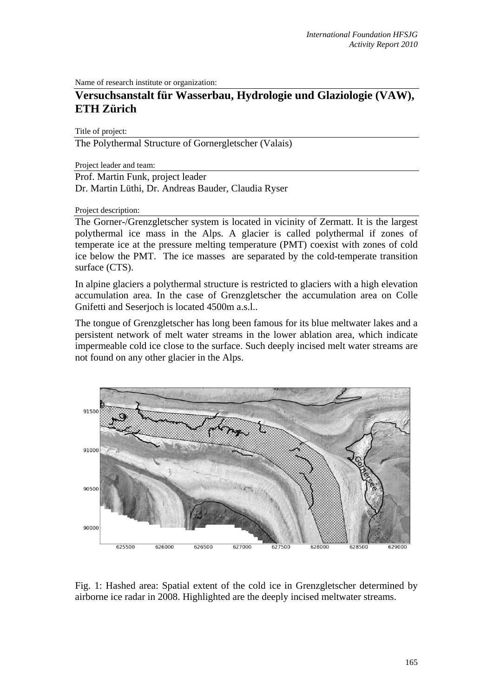Name of research institute or organization:

## **Versuchsanstalt für Wasserbau, Hydrologie und Glaziologie (VAW), ETH Zürich**

Title of project:

The Polythermal Structure of Gornergletscher (Valais)

Project leader and team:

Prof. Martin Funk, project leader Dr. Martin Lüthi, Dr. Andreas Bauder, Claudia Ryser

Project description:

The Gorner-/Grenzgletscher system is located in vicinity of Zermatt. It is the largest polythermal ice mass in the Alps. A glacier is called polythermal if zones of temperate ice at the pressure melting temperature (PMT) coexist with zones of cold ice below the PMT. The ice masses are separated by the cold-temperate transition surface (CTS).

In alpine glaciers a polythermal structure is restricted to glaciers with a high elevation accumulation area. In the case of Grenzgletscher the accumulation area on Colle Gnifetti and Seserjoch is located 4500m a.s.l..

The tongue of Grenzgletscher has long been famous for its blue meltwater lakes and a persistent network of melt water streams in the lower ablation area, which indicate impermeable cold ice close to the surface. Such deeply incised melt water streams are not found on any other glacier in the Alps.



Fig. 1: Hashed area: Spatial extent of the cold ice in Grenzgletscher determined by airborne ice radar in 2008. Highlighted are the deeply incised meltwater streams.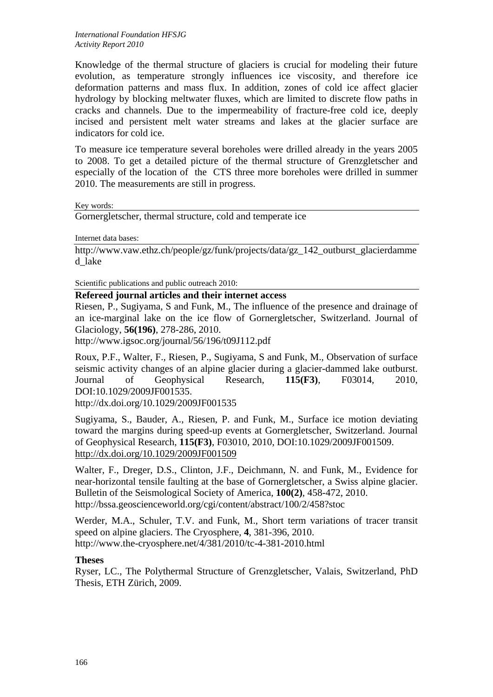Knowledge of the thermal structure of glaciers is crucial for modeling their future evolution, as temperature strongly influences ice viscosity, and therefore ice deformation patterns and mass flux. In addition, zones of cold ice affect glacier hydrology by blocking meltwater fluxes, which are limited to discrete flow paths in cracks and channels. Due to the impermeability of fracture-free cold ice, deeply incised and persistent melt water streams and lakes at the glacier surface are indicators for cold ice.

To measure ice temperature several boreholes were drilled already in the years 2005 to 2008. To get a detailed picture of the thermal structure of Grenzgletscher and especially of the location of the CTS three more boreholes were drilled in summer 2010. The measurements are still in progress.

Key words:

Gornergletscher, thermal structure, cold and temperate ice

Internet data bases:

http://www.yaw.ethz.ch/people/gz/funk/projects/data/gz\_142\_outburst\_glacierdamme d\_lake

Scientific publications and public outreach 2010:

## **Refereed journal articles and their internet access**

Riesen, P., Sugiyama, S and Funk, M., The influence of the presence and drainage of an ice-marginal lake on the ice flow of Gornergletscher, Switzerland. Journal of Glaciology, **56(196)**, 278-286, 2010.

http://www.igsoc.org/journal/56/196/t09J112.pdf

Roux, P.F., Walter, F., Riesen, P., Sugiyama, S and Funk, M., Observation of surface seismic activity changes of an alpine glacier during a glacier-dammed lake outburst. Journal of Geophysical Research, **115(F3)**, F03014, 2010, DOI:10.1029/2009JF001535.

http://dx.doi.org/10.1029/2009JF001535

Sugiyama, S., Bauder, A., Riesen, P. and Funk, M., Surface ice motion deviating toward the margins during speed-up events at Gornergletscher, Switzerland. Journal of Geophysical Research, **115(F3)**, F03010, 2010, DOI:10.1029/2009JF001509. http://dx.doi.org/10.1029/2009JF001509

Walter, F., Dreger, D.S., Clinton, J.F., Deichmann, N. and Funk, M., Evidence for near-horizontal tensile faulting at the base of Gornergletscher, a Swiss alpine glacier. Bulletin of the Seismological Society of America, **100(2)**, 458-472, 2010. http://bssa.geoscienceworld.org/cgi/content/abstract/100/2/458?stoc

Werder, M.A., Schuler, T.V. and Funk, M., Short term variations of tracer transit speed on alpine glaciers. The Cryosphere, **4**, 381-396, 2010. http://www.the-cryosphere.net/4/381/2010/tc-4-381-2010.html

## **Theses**

Ryser, LC., The Polythermal Structure of Grenzgletscher, Valais, Switzerland, PhD Thesis, ETH Zürich, 2009.